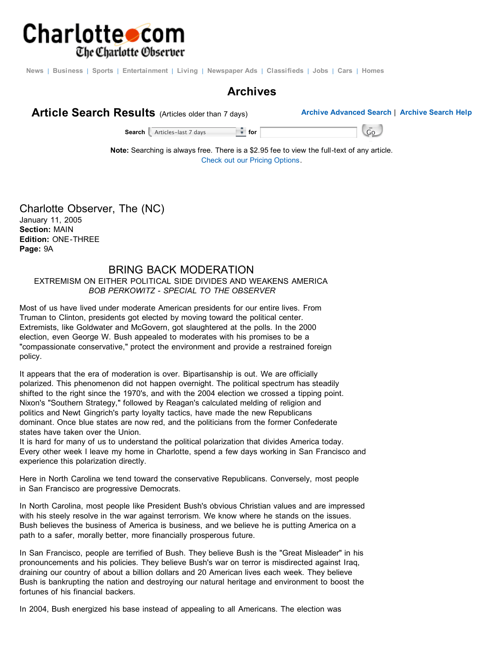

News | Business | Sports | Entertainment | Living | Newspaper Ads | Classifieds | Jobs | Cars | Homes

## **Archives**



**Search** Articles-last 7 days **for for for** Go **Go** 

**Note:** Searching is always free. There is a \$2.95 fee to view the full-text of any article. Check out our Pricing Options.

Charlotte Observer, The (NC) January 11, 2005 **Section:** MAIN **Edition:** ONE-THREE **Page:** 9A

## BRING BACK MODERATION

EXTREMISM ON EITHER POLITICAL SIDE DIVIDES AND WEAKENS AMERICA *BOB PERKOWITZ - SPECIAL TO THE OBSERVER*

Most of us have lived under moderate American presidents for our entire lives. From Truman to Clinton, presidents got elected by moving toward the political center. Extremists, like Goldwater and McGovern, got slaughtered at the polls. In the 2000 election, even George W. Bush appealed to moderates with his promises to be a "compassionate conservative," protect the environment and provide a restrained foreign policy.

It appears that the era of moderation is over. Bipartisanship is out. We are officially polarized. This phenomenon did not happen overnight. The political spectrum has steadily shifted to the right since the 1970's, and with the 2004 election we crossed a tipping point. Nixon's "Southern Strategy," followed by Reagan's calculated melding of religion and politics and Newt Gingrich's party loyalty tactics, have made the new Republicans dominant. Once blue states are now red, and the politicians from the former Confederate states have taken over the Union.

It is hard for many of us to understand the political polarization that divides America today. Every other week I leave my home in Charlotte, spend a few days working in San Francisco and experience this polarization directly.

Here in North Carolina we tend toward the conservative Republicans. Conversely, most people in San Francisco are progressive Democrats.

In North Carolina, most people like President Bush's obvious Christian values and are impressed with his steely resolve in the war against terrorism. We know where he stands on the issues. Bush believes the business of America is business, and we believe he is putting America on a path to a safer, morally better, more financially prosperous future.

In San Francisco, people are terrified of Bush. They believe Bush is the "Great Misleader" in his pronouncements and his policies. They believe Bush's war on terror is misdirected against Iraq, draining our country of about a billion dollars and 20 American lives each week. They believe Bush is bankrupting the nation and destroying our natural heritage and environment to boost the fortunes of his financial backers.

In 2004, Bush energized his base instead of appealing to all Americans. The election was